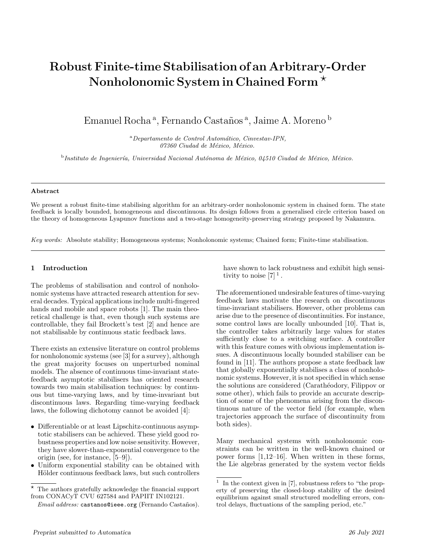# Robust Finite-time Stabilisation of an Arbitrary-Order Nonholonomic System in Chained Form<sup>\*</sup>

Emanuel Rocha<sup>a</sup>, Fernando Castaños<sup>a</sup>, Jaime A. Moreno <sup>b</sup>

<sup>a</sup>Departamento de Control Automático, Cinvestav-IPN, 07360 Ciudad de México, México.

<sup>b</sup>Instituto de Ingeniería, Universidad Nacional Autónoma de México, 04510 Ciudad de México, México.

#### Abstract

We present a robust finite-time stabilising algorithm for an arbitrary-order nonholonomic system in chained form. The state feedback is locally bounded, homogeneous and discontinuous. Its design follows from a generalised circle criterion based on the theory of homogeneous Lyapunov functions and a two-stage homogeneity-preserving strategy proposed by Nakamura.

Key words: Absolute stability; Homogeneous systems; Nonholonomic systems; Chained form; Finite-time stabilisation.

# 1 Introduction

The problems of stabilisation and control of nonholonomic systems have attracted research attention for several decades. Typical applications include multi-fingered hands and mobile and space robots [1]. The main theoretical challenge is that, even though such systems are controllable, they fail Brockett's test [2] and hence are not stabilisable by continuous static feedback laws.

There exists an extensive literature on control problems for nonholonomic systems (see [3] for a survey), although the great majority focuses on unperturbed nominal models. The absence of continuous time-invariant statefeedback asymptotic stabilisers has oriented research towards two main stabilisation techniques: by continuous but time-varying laws, and by time-invariant but discontinuous laws. Regarding time-varying feedback laws, the following dichotomy cannot be avoided [4]:

- Differentiable or at least Lipschitz-continuous asymptotic stabilisers can be achieved. These yield good robustness properties and low noise sensitivity. However, they have slower-than-exponential convergence to the origin (see, for instance, [5–9]).
- Uniform exponential stability can be obtained with Hölder continuous feedback laws, but such controllers

have shown to lack robustness and exhibit high sensitivity to noise  $[7]$ <sup>1</sup>.

The aforementioned undesirable features of time-varying feedback laws motivate the research on discontinuous time-invariant stabilisers. However, other problems can arise due to the presence of discontinuities. For instance, some control laws are locally unbounded [10]. That is, the controller takes arbitrarily large values for states sufficiently close to a switching surface. A controller with this feature comes with obvious implementation issues. A discontinuous locally bounded stabiliser can be found in [11]. The authors propose a state feedback law that globally exponentially stabilises a class of nonholonomic systems. However, it is not specified in which sense the solutions are considered (Carathéodory, Filippov or some other), which fails to provide an accurate description of some of the phenomena arising from the discontinuous nature of the vector field (for example, when trajectories approach the surface of discontinuity from both sides).

Many mechanical systems with nonholonomic constraints can be written in the well-known chained or power forms [1,12–16]. When written in these forms, the Lie algebras generated by the system vector fields

<sup>?</sup> The authors gratefully acknowledge the financial support from CONACyT CVU 627584 and PAPIIT IN102121.

 $Email \ address: \mathsf{castanos@ieee.org}$  (Fernando Castaños).

<sup>1</sup> In the context given in [7], robustness refers to "the property of preserving the closed-loop stability of the desired equilibrium against small structured modelling errors, control delays, fluctuations of the sampling period, etc."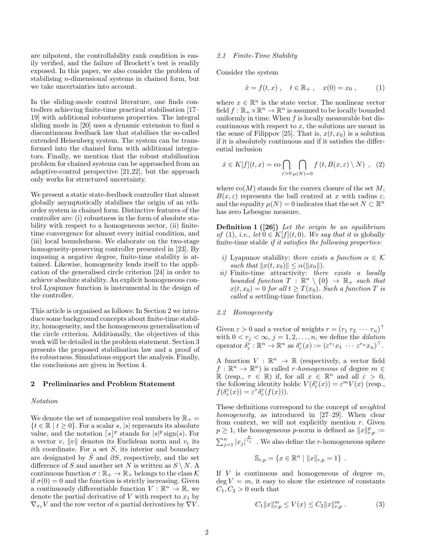are nilpotent, the controllability rank condition is easily verified, and the failure of Brockett's test is readily exposed. In this paper, we also consider the problem of stabilising n-dimensional systems in chained form, but we take uncertainties into account.

In the sliding-mode control literature, one finds controllers achieving finite-time practical stabilisation [17– 19] with additional robustness properties. The integral sliding mode in [20] uses a dynamic extension to find a discontinuous feedback law that stabilises the so-called extended Heisenberg system. The system can be transformed into the chained form with additional integrators. Finally, we mention that the robust stabilisation problem for chained systems can be approached from an adaptive-control perspective [21,22], but the approach only works for structured uncertainty.

We present a static state-feedback controller that almost globally asymptotically stabilises the origin of an nthorder system in chained form. Distinctive features of the controller are: (i) robustness in the form of absolute stability with respect to a homogeneous sector, (ii) finitetime convergence for almost every initial condition, and (iii) local boundedness. We elaborate on the two-stage homogeneity-preserving controller presented in [23]. By imposing a negative degree, finite-time stability is attained. Likewise, homogeneity lends itself to the application of the generalised circle criterion [24] in order to achieve absolute stability. An explicit homogeneous control Lyapunov function is instrumental in the design of the controller.

This article is organised as follows: In Section 2 we introduce some background concepts about finite-time stability, homogeneity, and the homogeneous generalisation of the circle criterion. Additionally, the objectives of this work will be detailed in the problem statement. Section 3 presents the proposed stabilisation law and a proof of its robustness. Simulations support the analysis. Finally, the conclusions are given in Section 4.

## 2 Preliminaries and Problem Statement

#### Notation

We denote the set of nonnegative real numbers by  $\mathbb{R}_+$  =  $\{t \in \mathbb{R} \mid t \geq 0\}$ . For a scalar s, |s| represents its absolute value, and the notation  $\lceil s \rceil^p$  stands for  $|s|^p$  sign(s). For a vector  $v, \|v\|$  denotes its Euclidean norm and  $v_i$  its ith coordinate. For a set  $S$ , its interior and boundary are designated by  $\check{S}$  and  $\partial S$ , respectively, and the set difference of S and another set N is written as  $S \setminus N$ . A continuous function  $\sigma : \mathbb{R}_+ \to \mathbb{R}_+$  belongs to the class K if  $\sigma(0) = 0$  and the function is strictly increasing. Given a continuously differentiable function  $V : \mathbb{R}^n \to \mathbb{R}$ , we denote the partial derivative of  $V$  with respect to  $x_1$  by  $\nabla_{x_1} V$  and the row vector of n partial derivatives by  $\nabla V$ .

#### 2.1 Finite-Time Stability

Consider the system

$$
\dot{x} = f(t, x)
$$
,  $t \in \mathbb{R}_+$ ,  $x(0) = x_0$ , (1)

where  $x \in \mathbb{R}^n$  is the state vector. The nonlinear vector field  $f : \mathbb{R}_+ \times \mathbb{R}^n \to \mathbb{R}^n$  is assumed to be locally bounded uniformly in time. When  $f$  is locally measurable but discontinuous with respect to  $x$ , the solutions are meant in the sense of Filippov [25]. That is,  $x(t, x_0)$  is a solution if it is absolutely continuous and if it satisfies the differential inclusion

$$
\dot{x} \in K[f](t, x) = \text{co} \bigcap_{\varepsilon > 0} \bigcap_{\mu(N) = 0} f(t, B(x, \varepsilon) \setminus N) , \quad (2)
$$

where  $\text{co}(M)$  stands for the convex closure of the set M,  $B(x, \varepsilon)$  represents the ball centred at x with radius  $\varepsilon$ , and the equality  $\mu(N) = 0$  indicates that the set  $N \subset \mathbb{R}^n$ has zero Lebesgue measure.

**Definition 1** ([26]) Let the origin be an equilibrium of (1), i.e., let  $0 \in K[f](t,0)$ . We say that it is globally finite-time stable if it satisfies the following properties:

- i) Lyapunov stability: there exists a function  $\alpha \in \mathcal{K}$ such that  $||x(t, x_0)|| \leq \alpha(||x_0||)$ .
- ii) Finite-time attractivity: there exists a locally bounded function  $T : \mathbb{R}^n \setminus \{0\} \to \mathbb{R}_+$  such that  $x(t, x_0) = 0$  for all  $t \geq T(x_0)$ . Such a function T is called a settling-time function.

#### 2.2 Homogeneity

Given  $\varepsilon > 0$  and a vector of weights  $r = (r_1 \ r_2 \ \cdots \ r_n)^\top$ with  $0 < r_j < \infty$ ,  $j = 1, 2, \ldots, n$ , we define the *dilation* operator  $\delta_{\varepsilon}^r : \mathbb{R}^n \to \mathbb{R}^n$  as  $\delta_{\varepsilon}^r(x) := (\varepsilon^{r_1} x_1 \cdots \varepsilon^{r_n} x_n)^\top$ .

A function  $V : \mathbb{R}^n \to \mathbb{R}$  (respectively, a vector field  $f: \mathbb{R}^n \to \mathbb{R}^n$  is called *r*-homogeneous of degree  $m \in$  $\mathbb{R}$  (resp.,  $\tau \in \mathbb{R}$ ) if, for all  $x \in \mathbb{R}^n$  and all  $\varepsilon > 0$ , the following identity holds:  $V(\delta_{\varepsilon}^r(x)) = \varepsilon^m V(x)$  (resp.,  $f(\delta_{\varepsilon}^r(x)) = \varepsilon^{\tau} \delta_{\varepsilon}^r(f(x))).$ 

These definitions correspond to the concept of weighted homogeneity, as introduced in [27–29]. When clear from context, we will not explicitly mention  $r$ . Given  $p \geq 1$ , the homogeneous p-norm is defined as  $||x||_{r,p}^p :=$  $\sum_{j=1}^{n} |x_j|^{\frac{p}{r_j}}$ . We also define the *r*-homogeneous sphere  $\mathbb{S}_{r,p} = \{x \in \mathbb{R}^n \mid ||x||_{r,p} = 1\}$ .

If  $V$  is continuous and homogeneous of degree  $m$ ,  $\deg V = m$ , it easy to show the existence of constants  $C_1, C_2 > 0$  such that

$$
C_1 \|x\|_{r,p}^m \le V(x) \le C_2 \|x\|_{r,p}^m . \tag{3}
$$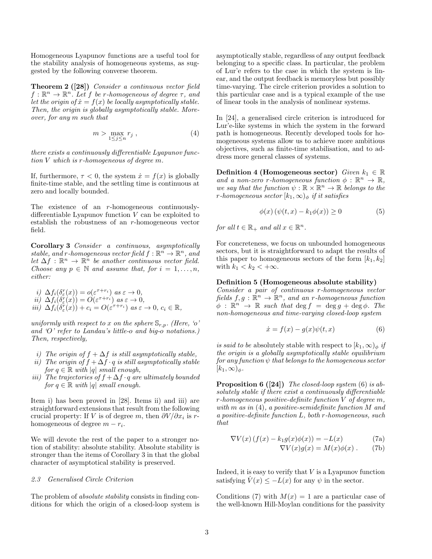Homogeneous Lyapunov functions are a useful tool for the stability analysis of homogeneous systems, as suggested by the following converse theorem.

Theorem 2 ([28]) Consider a continuous vector field  $f: \mathbb{R}^n \to \mathbb{R}^n$ . Let f be r-homogeneous of degree  $\tau$ , and let the origin of  $\dot{x} = f(x)$  be locally asymptotically stable. Then, the origin is globally asymptotically stable. Moreover, for any m such that

$$
m > \max_{1 \le j \le n} r_j \tag{4}
$$

there exists a continuously differentiable Lyapunov function V which is r-homogeneous of degree m.

If, furthermore,  $\tau < 0$ , the system  $\dot{x} = f(x)$  is globally finite-time stable, and the settling time is continuous at zero and locally bounded.

The existence of an r-homogeneous continuouslydifferentiable Lyapunov function V can be exploited to establish the robustness of an r-homogeneous vector field.

Corollary 3 Consider a continuous, asymptotically stable, and r-homogeneous vector field  $f: \mathbb{R}^n \to \mathbb{R}^n$ , and let  $\Delta f : \mathbb{R}^n \to \mathbb{R}^n$  be another continuous vector field. Choose any  $p \in \mathbb{N}$  and assume that, for  $i = 1, \ldots, n$ , either:

i)  $\Delta f_i(\delta_\varepsilon^r(x)) = o(\varepsilon^{\tau+r_i})$  as  $\varepsilon \to 0$ ,  $ii) \Delta f_i(\delta_{\varepsilon}^r(x)) = O(\varepsilon^{\tau+r_i}) \text{ as } \varepsilon \to 0,$ 

$$
\overrightarrow{iii)} \ \overrightarrow{\Delta f_i(\delta^r_{\varepsilon}(x))} + c_i = O(\varepsilon^{\tau+r_i}) \ as \ \varepsilon \to 0, \ c_i \in \mathbb{R},
$$

uniformly with respect to x on the sphere  $\mathbb{S}_{r,p}$ . (Here, 'o' and 'O' refer to Landau's little-o and big- $\tilde{o}$  notations.) Then, respectively,

- i) The origin of  $f + \Delta f$  is still asymptotically stable,
- ii) The origin of  $f + \Delta f \cdot q$  is still asymptotically stable for  $q \in \mathbb{R}$  with |q| small enough,
- iii) The trajectories of  $f + \Delta f \cdot q$  are ultimately bounded for  $q \in \mathbb{R}$  with |q| small enough.

Item i) has been proved in [28]. Items ii) and iii) are straightforward extensions that result from the following crucial property: If V is of degree m, then  $\partial V/\partial x_i$  is rhomogeneous of degree  $m - r_i$ .

We will devote the rest of the paper to a stronger notion of stability: absolute stability. Absolute stability is stronger than the items of Corollary 3 in that the global character of asymptotical stability is preserved.

## 2.3 Generalised Circle Criterion

The problem of absolute stability consists in finding conditions for which the origin of a closed-loop system is asymptotically stable, regardless of any output feedback belonging to a specific class. In particular, the problem of Lur'e refers to the case in which the system is linear, and the output feedback is memoryless but possibly time-varying. The circle criterion provides a solution to this particular case and is a typical example of the use of linear tools in the analysis of nonlinear systems.

In [24], a generalised circle criterion is introduced for Lur'e-like systems in which the system in the forward path is homogeneous. Recently developed tools for homogeneous systems allow us to achieve more ambitious objectives, such as finite-time stabilisation, and to address more general classes of systems.

Definition 4 (Homogeneous sector) Given  $k_1 \in \mathbb{R}$ and a non-zero r-homogeneous function  $\phi : \mathbb{R}^n \to \mathbb{R}$ , we say that the function  $\psi : \mathbb{R} \times \mathbb{R}^n \to \mathbb{R}$  belongs to the r-homogeneous sector  $[k_1, \infty)_\phi$  if it satisfies

$$
\phi(x)\left(\psi(t,x) - k_1\phi(x)\right) \ge 0\tag{5}
$$

for all  $t \in \mathbb{R}_+$  and all  $x \in \mathbb{R}^n$ .

For concreteness, we focus on unbounded homogeneous sectors, but it is straightforward to adapt the results of this paper to homogeneous sectors of the form  $[k_1, k_2]$ with  $k_1 < k_2 < +\infty$ .

## Definition 5 (Homogeneous absolute stability)

Consider a pair of continuous r-homogeneous vector fields  $f, g : \mathbb{R}^n \to \mathbb{R}^n$ , and an r-homogeneous function  $\phi$  :  $\mathbb{R}^n \to \mathbb{R}$  such that  $\deg f = \deg g + \deg \phi$ . The non-homogeneous and time-varying closed-loop system

$$
\dot{x} = f(x) - g(x)\psi(t, x) \tag{6}
$$

is said to be absolutely stable with respect to  $(k_1, \infty)_{\phi}$  if the origin is a globally asymptotically stable equilibrium  $for\ any\ function\ \psi\ that\ belongs\ to\ the\ homogeneous\ sector$  $[k_1,\infty)_\phi$ .

Proposition 6 ([24]) The closed-loop system (6) is absolutely stable if there exist a continuously differentiable  $r$ -homogeneous positive-definite function  $V$  of degree  $m$ , with m as in (4), a positive-semidefinite function M and a positive-definite function L, both r-homogeneous, such that

$$
\nabla V(x) \left( f(x) - k_1 g(x) \phi(x) \right) = -L(x) \tag{7a}
$$

$$
\nabla V(x)g(x) = M(x)\phi(x) . \qquad (7b)
$$

Indeed, it is easy to verify that  $V$  is a Lyapunov function satisfying  $\dot{V}(x) \leq -L(x)$  for any  $\psi$  in the sector.

Conditions (7) with  $M(x) = 1$  are a particular case of the well-known Hill-Moylan conditions for the passivity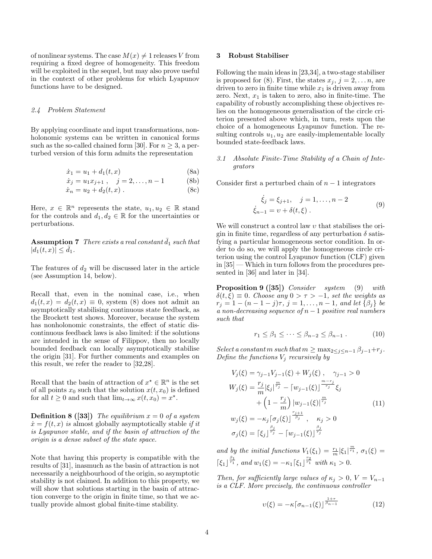of nonlinear systems. The case  $M(x) \neq 1$  releases V from requiring a fixed degree of homogeneity. This freedom will be exploited in the sequel, but may also prove useful in the context of other problems for which Lyapunov functions have to be designed.

#### 2.4 Problem Statement

By applying coordinate and input transformations, nonholonomic systems can be written in canonical forms such as the so-called chained form [30]. For  $n \geq 3$ , a perturbed version of this form admits the representation

$$
\dot{x}_1 = u_1 + d_1(t, x) \tag{8a}
$$

$$
\dot{x}_j = u_1 x_{j+1} , \quad j = 2, \dots, n-1 \tag{8b}
$$

$$
\dot{x}_n = u_2 + d_2(t, x) \,. \tag{8c}
$$

Here,  $x \in \mathbb{R}^n$  represents the state,  $u_1, u_2 \in \mathbb{R}$  stand for the controls and  $d_1, d_2 \in \mathbb{R}$  for the uncertainties or perturbations.

Assumption 7 There exists a real constant  $d_1$  such that  $|d_1(t, x)| \leq d_1.$ 

The features of  $d_2$  will be discussed later in the article (see Assumption 14, below).

Recall that, even in the nominal case, i.e., when  $d_1(t, x) = d_2(t, x) \equiv 0$ , system (8) does not admit an asymptotically stabilising continuous state feedback, as the Brockett test shows. Moreover, because the system has nonholonomic constraints, the effect of static discontinuous feedback laws is also limited: if the solutions are intended in the sense of Filippov, then no locally bounded feedback can locally asymptotically stabilise the origin [31]. For further comments and examples on this result, we refer the reader to [32,28].

Recall that the basin of attraction of  $x^* \in \mathbb{R}^n$  is the set of all points  $x_0$  such that the solution  $x(t, x_0)$  is defined for all  $t \geq 0$  and such that  $\lim_{t \to \infty} x(t, x_0) = x^*$ .

**Definition 8 ([33])** The equilibrium  $x = 0$  of a system  $\dot{x} = f(t, x)$  is almost globally asymptotically stable if it is Lyapunov stable, and if the basin of attraction of the origin is a dense subset of the state space.

Note that having this property is compatible with the results of [31], inasmuch as the basin of attraction is not necessarily a neighbourhood of the origin, so asymptotic stability is not claimed. In addition to this property, we will show that solutions starting in the basin of attraction converge to the origin in finite time, so that we actually provide almost global finite-time stability.

#### 3 Robust Stabiliser

Following the main ideas in [23,34], a two-stage stabiliser is proposed for (8). First, the states  $x_j, j = 2, \ldots n$ , are driven to zero in finite time while  $x_1$  is driven away from zero. Next,  $x_1$  is taken to zero, also in finite-time. The capability of robustly accomplishing these objectives relies on the homogeneous generalisation of the circle criterion presented above which, in turn, rests upon the choice of a homogeneous Lyapunov function. The resulting controls  $u_1, u_2$  are easily-implementable locally bounded state-feedback laws.

# 3.1 Absolute Finite-Time Stability of a Chain of Integrators

Consider first a perturbed chain of  $n-1$  integrators

$$
\dot{\xi}_j = \xi_{j+1}, \quad j = 1, \dots, n-2
$$
  
\n
$$
\dot{\xi}_{n-1} = \nu + \delta(t, \xi).
$$
 (9)

We will construct a control law  $v$  that stabilises the origin in finite time, regardless of any perturbation  $\delta$  satisfying a particular homogeneous sector condition. In order to do so, we will apply the homogeneous circle criterion using the control Lyapunov function (CLF) given in [35] — Which in turn follows from the procedures presented in [36] and later in [34].

Proposition 9 ([35]) Consider system (9) with  $\delta(t,\xi) \equiv 0$ . Choose any  $0 > \tau > -1$ , set the weights as  $r_j = 1 - (n - 1 - j)\tau$ ,  $j = 1, \ldots, n - 1$ , and let  $\{\beta_j\}$  be a non-decreasing sequence of  $n-1$  positive real numbers such that

$$
r_1 \le \beta_1 \le \dots \le \beta_{n-2} \le \beta_{n-1} . \tag{10}
$$

Select a constant m such that  $m \geq \max_{2 \leq j \leq n-1} \beta_{j-1} + r_j$ . Define the functions  $V_j$  recursively by

$$
V_j(\xi) = \gamma_{j-1} V_{j-1}(\xi) + W_j(\xi), \quad \gamma_{j-1} > 0
$$
  
\n
$$
W_j(\xi) = \frac{r_j}{m} |\xi_j|^{\frac{m}{r_j}} - [w_{j-1}(\xi)]^{\frac{m-r_j}{r_j}} \xi_j
$$
  
\n
$$
+ \left(1 - \frac{r_j}{m}\right) |w_{j-1}(\xi)|^{\frac{m}{r_j}} \qquad (11)
$$
  
\n
$$
w_j(\xi) = -\kappa_j [\sigma_j(\xi)]^{\frac{r_{j+1}}{\beta_j}}, \quad \kappa_j > 0
$$
  
\n
$$
\sigma_j(\xi) = [\xi_j]^{\frac{\beta_j}{r_j}} - [w_{j-1}(\xi)]^{\frac{\beta_j}{r_j}}
$$

and by the initial functions  $V_1(\xi_1) = \frac{r_1}{m} |\xi_1|^{\frac{m}{r_1}}$ ,  $\sigma_1(\xi) =$  $\lceil \xi_1 \rceil^{\frac{\beta_1}{r_1}},$  and  $w_1(\xi) = -\kappa_1 \lceil \xi_1 \rceil^{\frac{r_2}{r_1}}$  with  $\kappa_1 > 0$ .

Then, for sufficiently large values of  $\kappa_i > 0$ ,  $V = V_{n-1}$ is a CLF. More precisely, the continuous controller

$$
\upsilon(\xi) = -\kappa \left[ \sigma_{n-1}(\xi) \right]^{\frac{1+\tau}{\beta_{n-1}}} \tag{12}
$$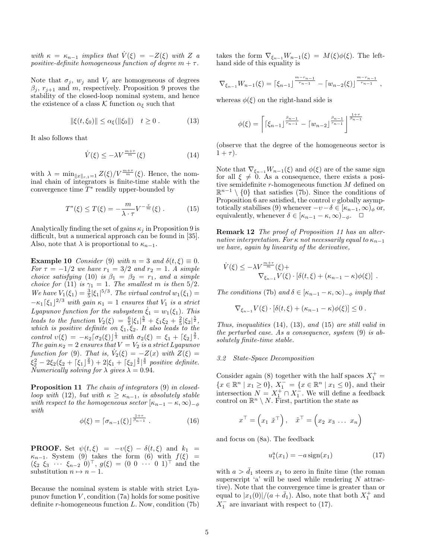with  $\kappa = \kappa_{n-1}$  implies that  $\dot{V}(\xi) = -Z(\xi)$  with Z a positive-definite homogeneous function of degree  $m + \tau$ .

Note that  $\sigma_j$ ,  $w_j$  and  $V_j$  are homogeneous of degrees  $\beta_i$ ,  $r_{i+1}$  and m, respectively. Proposition 9 proves the stability of the closed-loop nominal system, and hence the existence of a class K function  $\alpha_{\xi}$  such that

$$
\|\xi(t,\xi_0)\| \le \alpha_{\xi}(\|\xi_0\|) \quad t \ge 0. \tag{13}
$$

It also follows that

$$
\dot{V}(\xi) \le -\lambda V^{\frac{m+\tau}{m}}(\xi) \tag{14}
$$

with  $\lambda = \min_{\|x\|_{r,1}=1} Z(\xi)/V^{\frac{m+\tau}{m}}(\xi)$ . Hence, the nominal chain of integrators is finite-time stable with the convergence time  $T^*$  readily upper-bounded by

$$
T^*(\xi) \le T(\xi) = -\frac{m}{\lambda \cdot \tau} V^{-\frac{\tau}{m}}(\xi) . \tag{15}
$$

Analytically finding the set of gains  $\kappa_i$  in Proposition 9 is difficult, but a numerical approach can be found in [35]. Also, note that  $\lambda$  is proportional to  $\kappa_{n-1}$ .

**Example 10** Consider (9) with  $n = 3$  and  $\delta(t, \xi) \equiv 0$ . For  $\tau = -1/2$  we have  $r_1 = 3/2$  and  $r_2 = 1$ . A simple choice satisfying (10) is  $\beta_1 = \beta_2 = r_1$ , and a simple choice for (11) is  $\gamma_1 = 1$ . The smallest m is then  $5/2$ . We have  $V_1(\xi_1) = \frac{3}{5} |\xi_1|^{5/3}$ . The virtual control  $w_1(\xi_1) =$  $-\kappa_1\left[\xi_1\right]^{2/3}$  with gain  $\kappa_1 = 1$  ensures that  $V_1$  is a strict Lyapunov function for the subsystem  $\dot{\xi}_1 = w_1(\xi_1)$ . This leads to the function  $V_2(\xi) = \frac{6}{5} |\xi_1|^{\frac{5}{3}} + \xi_1 \xi_2 + \frac{2}{5} |\xi_2|^{\frac{5}{2}}$ , which is positive definite on  $\xi_1, \xi_2$ . It also leads to the control  $v(\xi) = -\kappa_2 \left[ \sigma_2(\xi) \right]^{\frac{1}{3}}$  with  $\sigma_2(\xi) = \xi_1 + \left[ \xi_2 \right]^{\frac{3}{2}}$ . The gain  $\kappa_2 = 2$  ensures that  $V = V_2$  is a strict Lyapunov function for (9). That is,  $\dot{V}_2(\xi) = -Z(x)$  with  $Z(\xi) =$  $\xi_2^2 - 2\xi_2(\xi_2 + \lceil \xi_1 \rceil^{\frac{2}{3}}) + 2|\xi_1 + \lceil \xi_2 \rceil^{\frac{3}{2}} \rceil^{\frac{4}{3}}$  positive definite. Numerically solving for  $\lambda$  gives  $\lambda = 0.94$ .

Proposition 11 The chain of integrators (9) in closedloop with (12), but with  $\kappa \geq \kappa_{n-1}$ , is absolutely stable with respect to the homogeneous sector  $[\kappa_{n-1} - \kappa, \infty)_{-\phi}$ with **1**<sub>τ</sub>

$$
\phi(\xi) = \lceil \sigma_{n-1}(\xi) \rceil^{\frac{1+\tau}{\beta_{n-1}}}.
$$
\n(16)

**PROOF.** Set  $\psi(t,\xi) = -v(\xi) - \delta(t,\xi)$  and  $k_1 =$  $\kappa_{n-1}$ . System (9) takes the form (6) with  $f(\xi)$  =  $(\xi_2 \xi_3 \cdots \xi_{n-2} 0)^\top, g(\xi) = (0 \ 0 \ \cdots \ 0 \ 1)^\top$  and the substitution  $n \mapsto n - 1$ .

Because the nominal system is stable with strict Lyapunov function  $V$ , condition  $(7a)$  holds for some positive definite  $r$ -homogeneous function  $L$ . Now, condition  $(7b)$  takes the form  $\nabla_{\xi_{n-1}} W_{n-1}(\xi) = M(\xi) \phi(\xi)$ . The lefthand side of this equality is

$$
\nabla_{\xi_{n-1}} W_{n-1}(\xi) = \left[ \xi_{n-1} \right]^{\frac{m-r_{n-1}}{r_{n-1}}} - \left[ w_{n-2}(\xi) \right]^{\frac{m-r_{n-1}}{r_{n-1}}},
$$

whereas  $\phi(\xi)$  on the right-hand side is

$$
\phi(\xi) = \left\lceil \left[ \xi_{n-1} \right]^{\frac{\beta_{n-1}}{r_{n-1}}} - \left[ w_{n-2} \right]^{\frac{\beta_{n-1}}{r_{n-1}}} \right]^{\frac{1+\tau}{\beta_{n-1}}}
$$

(observe that the degree of the homogeneous sector is  $1+\tau$ ).

Note that  $\nabla_{\xi_{n-1}} W_{n-1}(\xi)$  and  $\phi(\xi)$  are of the same sign for all  $\xi \neq 0$ . As a consequence, there exists a positive semidefinite r-homogeneous function M defined on  $\mathbb{R}^{n-1} \setminus \{0\}$  that satisfies (7b). Since the conditions of Proposition 6 are satisfied, the control  $v$  globally asymptotically stabilises (9) whenever  $-v-\delta \in [\kappa_{n-1}, \infty)_\phi$  or, equivalently, whenever  $\delta \in [\kappa_{n-1} - \kappa, \infty)_{-\phi}$ .  $\Box$ 

Remark 12 The proof of Proposition 11 has an alternative interpretation. For  $\kappa$  not necessarily equal to  $\kappa_{n-1}$ we have, again by linearity of the derivative,

$$
\dot{V}(\xi) \le -\lambda V^{\frac{m+\tau}{m}}(\xi) + \nabla_{\xi_{n-1}} V(\xi) \cdot [\delta(t,\xi) + (\kappa_{n-1} - \kappa)\phi(\xi)] .
$$

The conditions (7b) and  $\delta \in [\kappa_{n-1} - \kappa, \infty)_{-\phi}$  imply that

$$
\nabla_{\xi_{n-1}} V(\xi) \cdot [\delta(t,\xi) + (\kappa_{n-1} - \kappa) \phi(\xi)] \leq 0.
$$

Thus, inequalities  $(14)$ ,  $(13)$ , and  $(15)$  are still valid in the perturbed case. As a consequence, system (9) is absolutely finite-time stable.

## 3.2 State-Space Decomposition

Consider again (8) together with the half spaces  $X_1^+$  =  ${x \in \mathbb{R}^n \mid x_1 \ge 0}, X_1^- = {x \in \mathbb{R}^n \mid x_1 \le 0}, \text{ and their}$ intersection  $N = X_1^+ \cap X_1^-$ . We will define a feedback control on  $\mathbb{R}^n \setminus N$ . First, partition the state as

$$
x^{\top} = \left(x_1 \ \tilde{x}^{\top}\right), \quad \tilde{x}^{\top} = \left(x_2 \ x_3 \ \ldots \ x_n\right)
$$

and focus on (8a). The feedback

$$
u_1^a(x_1) = -a \operatorname{sign}(x_1) \tag{17}
$$

with  $a > d_1$  steers  $x_1$  to zero in finite time (the roman superscript  $a'$  will be used while rendering N attractive). Note that the convergence time is greater than or equal to  $|x_1(0)|/(a + \bar{d}_1)$ . Also, note that both  $X_1^+$  and  $X_1^-$  are invariant with respect to (17).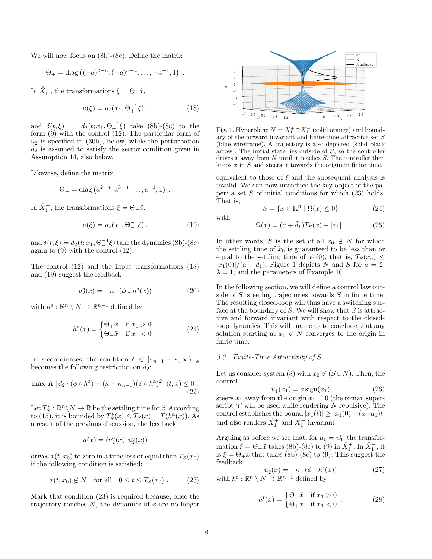We will now focus on (8b)-(8c). Define the matrix

$$
\Theta_+ = \text{diag} ((-a)^{2-n}, (-a)^{3-n}, \dots, -a^{-1}, 1)
$$
.

In  $\mathring{X}_1^+$ , the transformations  $\xi = \Theta_+ \tilde{x}$ ,

$$
v(\xi) = u_2(x_1, \Theta_+^{-1}\xi) , \qquad (18)
$$

and  $\delta(t,\xi) = d_2(t;x_1,\Theta_+^{-1}\xi)$  take (8b)-(8c) to the form (9) with the control (12). The particular form of  $u_2$  is specified in (30b), below, while the perturbation  $d_2$  is assumed to satisfy the sector condition given in Assumption 14, also below.

Likewise, define the matrix

$$
\Theta_{-} = \text{diag}\left(a^{2-n}, a^{3-n}, \dots, a^{-1}, 1\right) \ .
$$

In  $\mathring{X}_1^-$ , the transformations  $\xi = \Theta_-\tilde{x}$ ,

$$
v(\xi) = u_2(x_1, \Theta^{-1} \xi) , \qquad (19)
$$

and  $\delta(t,\xi) = d_2(t;x_1,\Theta^{-1}_\xi\xi)$  take the dynamics (8b)-(8c) again to (9) with the control (12).

The control (12) and the input transformations (18) and (19) suggest the feedback

$$
u_2^{\mathbf{a}}(x) = -\kappa \cdot (\phi \circ h^{\mathbf{a}}(x)) \tag{20}
$$

with  $h^{\mathbf{a}} : \mathbb{R}^n \setminus N \to \mathbb{R}^{n-1}$  defined by

$$
h^{a}(x) = \begin{cases} \Theta_{+}\tilde{x} & \text{if } x_{1} > 0 \\ \Theta_{-}\tilde{x} & \text{if } x_{1} < 0 \end{cases} \tag{21}
$$

In x-coordinates, the condition  $\delta \in [\kappa_{n-1} - \kappa, \infty)_{-\phi}$ becomes the following restriction on  $d_2$ :

$$
\max K \left[ d_2 \cdot (\phi \circ h^a) - (\kappa - \kappa_{n-1})(\phi \circ h^a)^2 \right] (t, x) \le 0.
$$
\n<sup>(22)</sup>

Let  $T_S^* : \mathbb{R}^n \backslash N \to \mathbb{R}$  be the settling time for  $\tilde{x}$ . According to (15), it is bounded by  $T_S^*(x) \le T_S(x) = T(h^a(x))$ . As a result of the previous discussion, the feedback

$$
u(x)=(u_1^{\rm a}(x),u_2^{\rm a}(x))
$$

drives  $\tilde{x}(t, x_0)$  to zero in a time less or equal than  $T_S(x_0)$ if the following condition is satisfied:

$$
x(t, x_0) \notin N \quad \text{for all} \quad 0 \le t \le T_S(x_0). \tag{23}
$$

Mark that condition (23) is required because, once the trajectory touches  $N$ , the dynamics of  $\tilde{x}$  are no longer



Fig. 1. Hyperplane  $N = X_1^+ \cap X_1^-$  (solid orange) and boundary of the forward invariant and finite-time attractive set S (blue wireframe). A trajectory is also depicted (solid black arrow). The initial state lies outside of  $S$ , so the controller drives  $x$  away from  $N$  until it reaches  $S$ . The controller then keeps  $x$  in  $S$  and steers it towards the origin in finite time.

equivalent to those of  $\xi$  and the subsequent analysis is invalid. We can now introduce the key object of the paper: a set  $S$  of initial conditions for which  $(23)$  holds. That is,

$$
S = \{x \in \mathbb{R}^n \mid \Omega(x) \le 0\}
$$
 (24)

$$
\Omega(x) = (a + \bar{d}_1)T_S(x) - |x_1|.
$$
 (25)

In other words, S is the set of all  $x_0 \notin N$  for which the settling time of  $\tilde{x}_0$  is guaranteed to be less than or equal to the settling time of  $x_1(0)$ , that is,  $T_S(x_0) \leq$  $|x_1(0)|/(a + \bar{d}_1)$ . Figure 1 depicts N and S for  $a = 2$ ,  $\lambda = 1$ , and the parameters of Example 10.

In the following section, we will define a control law outside of  $S$ , steering trajectories towards  $S$  in finite time. The resulting closed-loop will thus have a switching surface at the boundary of  $S$ . We will show that  $S$  is attractive and forward invariant with respect to the closedloop dynamics. This will enable us to conclude that any solution starting at  $x_0 \notin N$  converges to the origin in finite time.

# 3.3 Finite-Time Attractivity of S

with

Let us consider system (8) with  $x_0 \notin (S \cup N)$ . Then, the control

$$
u_1^{\mathrm{r}}(x_1) = a \operatorname{sign}(x_1) \tag{26}
$$

steers  $x_1$  away from the origin  $x_1 = 0$  (the roman superscript 'r' will be used while rendering  $N$  repulsive). The control establishes the bound  $|x_1(t)| \geq |x_1(0)| + (a-d_1)t$ , and also renders  $\mathring{X}_1^+$  and  $\mathring{X}_1^-$  invariant.

Arguing as before we see that, for  $u_1 = u_1^{\rm r}$ , the transformation  $\xi = \Theta_-\tilde{x}$  takes (8b)-(8c) to (9) in  $\mathring{X}_1^+$ . In  $\mathring{X}_1^-$ , it is  $\xi = \Theta_+ \tilde{x}$  that takes (8b)-(8c) to (9). This suggest the feedback

$$
u_2^{\mathbf{r}}(x) = -\kappa \cdot (\phi \circ h^{\mathbf{r}}(x))
$$
  
with  $h^{\mathbf{r}} : \mathbb{R}^n \setminus N \to \mathbb{R}^{n-1}$  defined by (27)

$$
h^{r}(x) = \begin{cases} \Theta_{-} \tilde{x} & \text{if } x_{1} > 0 \\ \Theta_{+} \tilde{x} & \text{if } x_{1} < 0 \end{cases} \tag{28}
$$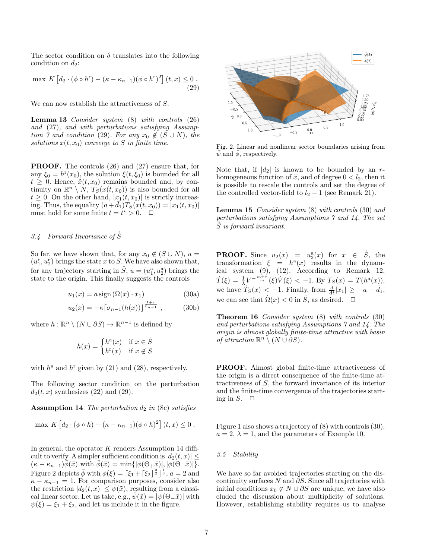The sector condition on  $\delta$  translates into the following condition on  $d_2$ :

$$
\max K \left[ d_2 \cdot (\phi \circ h^{\mathfrak{r}}) - (\kappa - \kappa_{n-1})(\phi \circ h^{\mathfrak{r}})^2 \right] (t, x) \le 0.
$$
\n(29)

We can now establish the attractiveness of S.

Lemma 13 Consider system (8) with controls (26) and (27), and with perturbations satisfying Assumption 7 and condition (29). For any  $x_0 \notin (S \cup N)$ , the solutions  $x(t, x_0)$  converge to S in finite time.

PROOF. The controls (26) and (27) ensure that, for any  $\xi_0 = h^r(x_0)$ , the solution  $\xi(t, \xi_0)$  is bounded for all  $t \geq 0$ . Hence,  $\tilde{x}(t, x_0)$  remains bounded and, by continuity on  $\mathbb{R}^n \setminus N$ ,  $T_S(x(t, x_0))$  is also bounded for all  $t \geq 0$ . On the other hand,  $|x_1(t, x_0)|$  is strictly increasing. Thus, the equality  $(a + d_1)T_S(x(t, x_0)) = |x_1(t, x_0)|$ must hold for some finite  $t = t^* > 0$ .  $\Box$ 

# 3.4 Forward Invariance of  $\check{S}$

So far, we have shown that, for any  $x_0 \notin (S \cup N)$ ,  $u =$  $(u_1^r, u_2^r)$  brings the state x to S. We have also shown that, for any trajectory starting in  $\mathring{S}, u = (u_1^a, u_2^a)$  brings the state to the origin. This finally suggests the controls

$$
u_1(x) = a \operatorname{sign}(\Omega(x) \cdot x_1) \tag{30a}
$$

$$
u_2(x) = -\kappa \left[ \sigma_{n-1}(h(x)) \right]^{\frac{1+\tau}{\beta_{n-1}}},
$$
 (30b)

where  $h : \mathbb{R}^n \setminus (N \cup \partial S) \to \mathbb{R}^{n-1}$  is defined by

$$
h(x) = \begin{cases} h^{a}(x) & \text{if } x \in \mathring{S} \\ h^{r}(x) & \text{if } x \notin S \end{cases}
$$

with  $h^a$  and  $h^r$  given by (21) and (28), respectively.

The following sector condition on the perturbation  $d_2(t, x)$  synthesizes (22) and (29).

**Assumption 14** The perturbation  $d_2$  in (8c) satisfies

$$
\max K \left[ d_2 \cdot (\phi \circ h) - (\kappa - \kappa_{n-1})(\phi \circ h)^2 \right] (t, x) \leq 0.
$$

In general, the operator K renders Assumption 14 difficult to verify. A simpler sufficient condition is  $|d_2(t, x)| \leq$  $(\kappa - \kappa_{n-1})\overline{\phi}(\tilde{x})$  with  $\overline{\phi}(\tilde{x}) = \min\{|\phi(\Theta_+\tilde{x})|, |\phi(\Theta_-\tilde{x})|\}.$ Figure 2 depicts  $\bar{\phi}$  with  $\phi(\xi) = \lceil \xi_1 + \lceil \xi_2 \rceil^{\frac{3}{2}} \rceil^{\frac{1}{3}}, a = 2$  and  $\kappa - \kappa_{n-1} = 1$ . For comparison purposes, consider also the restriction  $|d_2(t, x)| \leq \overline{\psi}(\tilde{x})$ , resulting from a classical linear sector. Let us take, e.g.,  $\psi(\tilde{x}) = |\psi(\Theta - \tilde{x})|$  with  $\psi(\xi) = \xi_1 + \xi_2$ , and let us include it in the figure.



Fig. 2. Linear and nonlinear sector boundaries arising from  $\psi$  and  $\phi$ , respectively.

Note that, if  $|d_2|$  is known to be bounded by an rhomogeneous function of  $\tilde{x}$ , and of degree  $0 < l_2$ , then it is possible to rescale the controls and set the degree of the controlled vector-field to  $l_2 - 1$  (see Remark 21).

Lemma 15 Consider system (8) with controls (30) and perturbations satisfying Assumptions 7 and 14. The set  $\check{S}$  is forward invariant.

**PROOF.** Since  $u_2(x) = u_2^{\mathbf{a}}(x)$  for  $x \in \mathring{S}$ , the transformation  $\xi = h^a(x)$  results in the dynamical system (9), (12). According to Remark 12,  $\dot{T}(\xi) = \frac{1}{\lambda} V^{-\frac{m+\tau}{m}}(\xi) \dot{V}(\xi) < -1$ . By  $T_S(x) = T(h^a(x)),$ we have  $\hat{T}_S(x) < -1$ . Finally, from  $\frac{d}{dt}|x_1| \ge -a - \bar{d}_1$ , we can see that  $\dot{\Omega}(x) < 0$  in  $\dot{S}$ , as desired.  $\Box$ 

Theorem 16 Consider system (8) with controls (30) and perturbations satisfying Assumptions 7 and 14. The origin is almost globally finite-time attractive with basin of attraction  $\mathbb{R}^n \setminus (N \cup \partial S)$ .

PROOF. Almost global finite-time attractiveness of the origin is a direct consequence of the finite-time attractiveness of S, the forward invariance of its interior and the finite-time convergence of the trajectories starting in  $S$ .  $\Box$ 

Figure 1 also shows a trajectory of (8) with controls (30),  $a = 2$ ,  $\lambda = 1$ , and the parameters of Example 10.

# 3.5 Stability

We have so far avoided trajectories starting on the discontinuity surfaces  $N$  and  $\partial S$ . Since all trajectories with initial conditions  $x_0 \notin N \cup \partial S$  are unique, we have also eluded the discussion about multiplicity of solutions. However, establishing stability requires us to analyse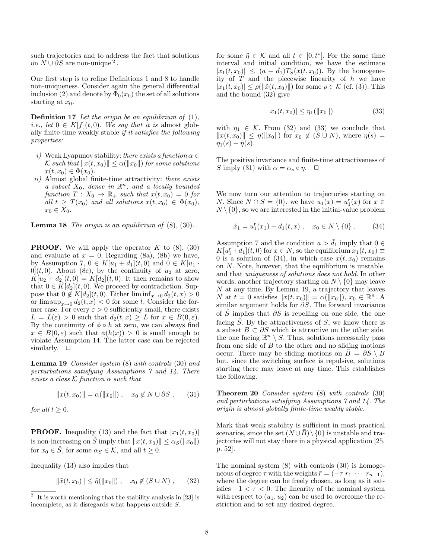such trajectories and to address the fact that solutions on  $N \cup \partial S$  are non-unique<sup>2</sup>.

Our first step is to refine Definitions 1 and 8 to handle non-uniqueness. Consider again the general differential inclusion (2) and denote by  $\Phi_0(x_0)$  the set of all solutions starting at  $x_0$ .

**Definition 17** Let the origin be an equilibrium of  $(1)$ , *i.e.*, let  $0 \in K[f](t,0)$ . We say that it is almost globally finite-time weakly stable if it satisfies the following properties:

- i) Weak Lyapunov stability: there exists a function  $\alpha \in$ K such that  $||x(t, x_0)|| \leq \alpha(||x_0||)$  for some solutions  $x(t, x_0) \in \Phi(x_0)$ .
- ii) Almost global finite-time attractivity: there exists a subset  $X_0$ , dense in  $\mathbb{R}^n$ , and a locally bounded function  $T: X_0 \to \mathbb{R}_+$  such that  $x(t, x_0) = 0$  for all  $t \geq T(x_0)$  and all solutions  $x(t, x_0) \in \Phi(x_0)$ ,  $x_0 \in X_0$ .

**Lemma 18** The origin is an equilibrium of  $(8)$ ,  $(30)$ .

**PROOF.** We will apply the operator  $K$  to  $(8)$ ,  $(30)$ and evaluate at  $x = 0$ . Regarding (8a), (8b) we have, by Assumption 7,  $0 \in K[u_1 + d_1](t, 0)$  and  $0 \in K[u_1 \cdot$  $0](t,0)$ . About (8c), by the continuity of  $u_2$  at zero,  $K[u_2 + d_2](t,0) = K[d_2](t,0)$ . It then remains to show that  $0 \in K[d_2](t, 0)$ . We proceed by contradiction. Suppose that  $0 \notin K[d_2](t, 0)$ . Either  $\liminf_{x\to 0} d_2(t, x) > 0$ or  $\limsup_{x\to 0} d_2(t,x) < 0$  for some t. Consider the former case. For every  $\varepsilon > 0$  sufficiently small, there exists  $L = L(\varepsilon) > 0$  such that  $d_2(t, x) \geq L$  for  $x \in B(0, \varepsilon)$ . By the continuity of  $\phi \circ h$  at zero, we can always find  $x \in B(0,\varepsilon)$  such that  $\phi(h(x)) > 0$  is small enough to violate Assumption 14. The latter case can be rejected similarly.  $\square$ 

Lemma 19 Consider system (8) with controls (30) and perturbations satisfying Assumptions 7 and 14. There exists a class  $\mathcal K$  function  $\alpha$  such that

$$
||x(t, x_0)|| = \alpha(||x_0||), \quad x_0 \notin N \cup \partial S, \qquad (31)
$$

for all  $t \geq 0$ .

**PROOF.** Inequality (13) and the fact that  $|x_1(t, x_0)|$ is non-increasing on S imply that  $||x(t, x_0)|| \leq \alpha_S(||x_0||)$ for  $x_0 \in \mathring{S}$ , for some  $\alpha_S \in \mathcal{K}$ , and all  $t \geq 0$ .

Inequality (13) also implies that

$$
\|\tilde{x}(t,x_0)\| \le \tilde{\eta}(\|x_0\|) , \quad x_0 \notin (S \cup N) , \quad (32)
$$

for some  $\tilde{\eta} \in \mathcal{K}$  and all  $t \in [0, t^*]$ . For the same time interval and initial condition, we have the estimate  $|x_1(t, x_0)| \leq (a + \overline{d}_1)T_S(x(t, x_0))$ . By the homogeneity of  $T$  and the piecewise linearity of  $h$  we have  $|x_1(t, x_0)| \le \rho(\|\tilde{x}(t, x_0)\|)$  for some  $\rho \in \mathcal{K}$  (cf. (3)). This and the bound (32) give

$$
|x_1(t, x_0)| \le \eta_1(||x_0||) \tag{33}
$$

with  $\eta_1 \in \mathcal{K}$ . From (32) and (33) we conclude that  $||x(t, x_0)|| \leq \eta(||x_0||)$  for  $x_0 \notin (S \cup N)$ , where  $\eta(s) =$  $\eta_1(s) + \tilde{\eta}(s).$ 

The positive invariance and finite-time attractiveness of S imply (31) with  $\alpha = \alpha_s \circ \eta$ .  $\Box$ 

We now turn our attention to trajectories starting on *N*. Since  $N \cap S = \{0\}$ , we have  $u_1(x) = u_1^{\text{r}}(x)$  for  $x \in$  $N \setminus \{0\}$ , so we are interested in the initial-value problem

$$
\dot{x}_1 = u_1^{\rm r}(x_1) + d_1(t, x) , \quad x_0 \in N \setminus \{0\} . \tag{34}
$$

Assumption 7 and the condition  $a > \bar{d}_1$  imply that  $0 \in$  $K[u_1^{\rm r}+d_1](t,0)$  for  $x\in N$ , so the equilibrium  $x_1(t,x_0)\equiv$ 0 is a solution of (34), in which case  $x(t, x_0)$  remains on N. Note, however, that the equilibrium is unstable, and that uniqueness of solutions does not hold. In other words, another trajectory starting on  $N \setminus \{0\}$  may leave N at any time. By Lemma 19, a trajectory that leaves N at  $t = 0$  satisfies  $||x(t, x_0)|| = \alpha(||x_0||)$ ,  $x_0 \in \mathbb{R}^n$ . A similar argument holds for  $\partial S$ . The forward invariance of S<sup>*i*</sup> implies that  $\partial S$  is repelling on one side, the one facing  $\check{S}$ . By the attractiveness of  $S$ , we know there is a subset  $B \subset \partial S$  which is attractive on the other side, the one facing  $\mathbb{R}^n \setminus S$ . Thus, solutions necessarily pass from one side of  $B$  to the other and no sliding motions occur. There may be sliding motions on  $\overline{B} = \partial S \setminus B$ but, since the switching surface is repulsive, solutions starting there may leave at any time. This establishes the following.

Theorem 20 Consider system (8) with controls (30) and perturbations satisfying Assumptions 7 and 14. The origin is almost globally finite-time weakly stable.

Mark that weak stability is sufficient in most practical scenarios, since the set  $(N \cup B) \setminus \{0\}$  is unstable and trajectories will not stay there in a physical application [25, p. 52].

The nominal system (8) with controls (30) is homogeneous of degree  $\tau$  with the weights  $\bar{r} = (-\tau r_1 \cdots r_{n-1}),$ where the degree can be freely chosen, as long as it satisfies  $-1 < \tau < 0$ . The linearity of the nominal system with respect to  $(u_1, u_2)$  can be used to overcome the restriction and to set any desired degree.

<sup>2</sup> It is worth mentioning that the stability analysis in [23] is incomplete, as it disregards what happens outside S.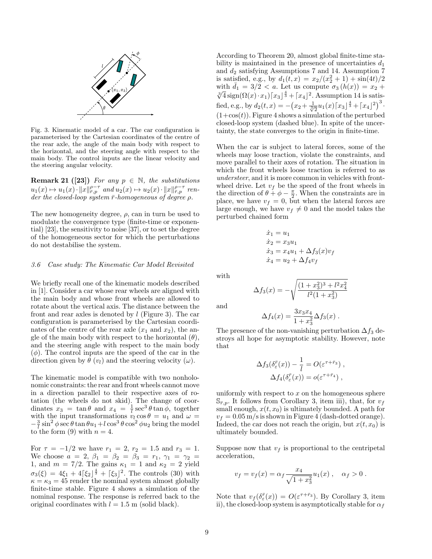

Fig. 3. Kinematic model of a car. The car configuration is parameterised by the Cartesian coordinates of the centre of the rear axle, the angle of the main body with respect to the horizontal, and the steering angle with respect to the main body. The control inputs are the linear velocity and the steering angular velocity.

**Remark 21** ([23]) For any  $p \in \mathbb{N}$ , the substitutions  $u_1(x) \mapsto u_1(x) \cdot ||x||_{\overline{r},p}^{\rho-\tau}$  and  $u_2(x) \mapsto u_2(x) \cdot ||x||_{\overline{r},p}^{\rho-\tau}$  render the closed-loop system  $\bar{r}$ -homogeneous of degree  $\rho$ .

The new homogeneity degree,  $\rho$ , can in turn be used to modulate the convergence type (finite-time or exponential) [23], the sensitivity to noise [37], or to set the degree of the homogeneous sector for which the perturbations do not destabilise the system.

# 3.6 Case study: The Kinematic Car Model Revisited

We briefly recall one of the kinematic models described in [1]. Consider a car whose rear wheels are aligned with the main body and whose front wheels are allowed to rotate about the vertical axis. The distance between the front and rear axles is denoted by  $l$  (Figure 3). The car configuration is parameterised by the Cartesian coordinates of the centre of the rear axle  $(x_1 \text{ and } x_2)$ , the angle of the main body with respect to the horizontal  $(\theta)$ , and the steering angle with respect to the main body  $(\phi)$ . The control inputs are the speed of the car in the direction given by  $\theta(v_l)$  and the steering velocity  $(\omega)$ .

The kinematic model is compatible with two nonholonomic constraints: the rear and front wheels cannot move in a direction parallel to their respective axes of rotation (the wheels do not skid). The change of coordinates  $x_3 = \tan \theta$  and  $x_4 = \frac{1}{l} \sec^3 \theta \tan \phi$ , together with the input transformations  $v_l \cos \theta = u_1$  and  $\omega =$  $-\frac{3}{l}\sin^2\phi\sec\theta\tan\theta u_1+l\cos^3\theta\cos^2\phi u_2$  bring the model to the form (9) with  $n = 4$ .

For  $\tau = -1/2$  we have  $r_1 = 2$ ,  $r_2 = 1.5$  and  $r_3 = 1$ . We choose  $a = 2, \beta_1 = \beta_2 = \beta_3 = r_1, \gamma_1 = \gamma_2 =$ 1, and  $m = 7/2$ . The gains  $\kappa_1 = 1$  and  $\kappa_2 = 2$  yield  $\sigma_3(\xi) = 4\xi_1 + 4[\xi_2]^{\frac{4}{3}} + [\xi_3]^2$ . The controls (30) with  $\kappa = \kappa_3 = 45$  render the nominal system almost globally finite-time stable. Figure 4 shows a simulation of the nominal response. The response is referred back to the original coordinates with  $l = 1.5$  m (solid black).

According to Theorem 20, almost global finite-time stability is maintained in the presence of uncertainties  $d_1$ and  $d_2$  satisfying Assumptions 7 and 14. Assumption 7 is satisfied, e.g., by  $d_1(t, x) = x_2/(x_2^2 + 1) + \sin(4t)/2$ with  $\bar{d}_1 = 3/2 < a$ . Let us compute  $\sigma_3(h(x)) = x_2 +$ with  $a_1 = 3/2 < a$ . Let us compute  $a_3(n(x)) = x_2 +$ <br> $\sqrt[3]{4}$  sign $(\Omega(x) \cdot x_1)[x_3]^{\frac{4}{3}} + [x_4]^2$ . Assumption 14 is satisfied, e.g., by  $d_2(t,x) = -(x_2 + \frac{1}{\sqrt[3]{2}}u_1(x)\sqrt{x_3} + \sqrt{x_4}/2)^3$ .  $(1+\cos(t))$ . Figure 4 shows a simulation of the perturbed closed-loop system (dashed blue). In spite of the uncertainty, the state converges to the origin in finite-time.

When the car is subject to lateral forces, some of the wheels may loose traction, violate the constraints, and move parallel to their axes of rotation. The situation in which the front wheels loose traction is referred to as understeer, and it is more common in vehicles with frontwheel drive. Let  $v_f$  be the speed of the front wheels in the direction of  $\theta + \phi - \frac{\pi}{2}$ . When the constraints are in place, we have  $v_f = 0$ , but when the lateral forces are large enough, we have  $v_f \neq 0$  and the model takes the perturbed chained form

$$
\dot{x}_1 = u_1 \n\dot{x}_2 = x_3 u_1 \n\dot{x}_3 = x_4 u_1 + \Delta f_3(x) v_f \n\dot{x}_4 = u_2 + \Delta f_4 v_f
$$

with

$$
\Delta f_3(x) = -\sqrt{\frac{(1+x_3^2)^3 + l^2 x_4^2}{l^2 (1+x_3^2)}}
$$

and

$$
\Delta f_4(x) = \frac{3x_3x_4}{1+x_3^2} \Delta f_3(x) .
$$

The presence of the non-vanishing perturbation  $\Delta f_3$  destroys all hope for asymptotic stability. However, note that

$$
\Delta f_3(\delta_{\varepsilon}^{\bar{r}}(x)) - \frac{1}{l} = O(\varepsilon^{\tau + \bar{r}_3}),
$$
  

$$
\Delta f_4(\delta_{\varepsilon}^{\bar{r}}(x)) = o(\varepsilon^{\tau + \bar{r}_4}),
$$

uniformly with respect to  $x$  on the homogeneous sphere  $\mathbb{S}_{\bar{r},p}$ . It follows from Corollary 3, item iii), that, for  $v_f$ small enough,  $x(t, x_0)$  is ultimately bounded. A path for  $v_f = 0.05$  m/s is shown in Figure 4 (dash-dotted orange). Indeed, the car does not reach the origin, but  $x(t, x_0)$  is ultimately bounded.

Suppose now that  $v_f$  is proportional to the centripetal acceleration,

$$
v_f = v_f(x) = \alpha_f \frac{x_4}{\sqrt{1 + x_3^2}} u_1(x)
$$
,  $\alpha_f > 0$ .

Note that  $v_f(\delta_{\varepsilon}^{\bar{r}}(x)) = O(\varepsilon^{\tau + \bar{r}_3})$ . By Corollary 3, item ii), the closed-loop system is asymptotically stable for  $\alpha_f$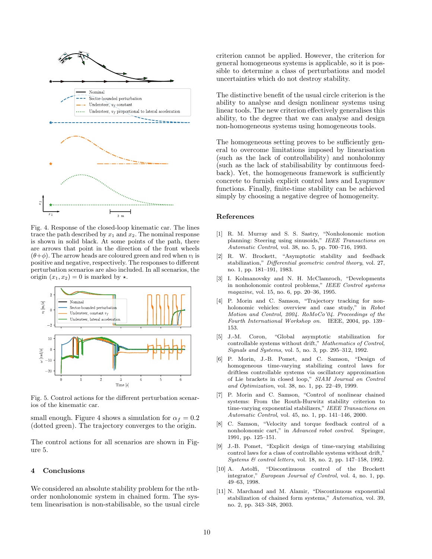

Fig. 4. Response of the closed-loop kinematic car. The lines trace the path described by  $x_1$  and  $x_2$ . The nominal response is shown in solid black. At some points of the path, there are arrows that point in the direction of the front wheels  $(\theta + \phi)$ . The arrow heads are coloured green and red when  $v_l$  is positive and negative, respectively. The responses to different perturbation scenarios are also included. In all scenarios, the origin  $(x_1, x_2) = 0$  is marked by  $\star$ .



Fig. 5. Control actions for the different perturbation scenarios of the kinematic car.

small enough. Figure 4 shows a simulation for  $\alpha_f = 0.2$ (dotted green). The trajectory converges to the origin.

The control actions for all scenarios are shown in Figure 5.

#### 4 Conclusions

We considered an absolute stability problem for the *n*thorder nonholonomic system in chained form. The system linearisation is non-stabilisable, so the usual circle criterion cannot be applied. However, the criterion for general homogeneous systems is applicable, so it is possible to determine a class of perturbations and model uncertainties which do not destroy stability.

The distinctive benefit of the usual circle criterion is the ability to analyse and design nonlinear systems using linear tools. The new criterion effectively generalises this ability, to the degree that we can analyse and design non-homogeneous systems using homogeneous tools.

The homogeneous setting proves to be sufficiently general to overcome limitations imposed by linearisation (such as the lack of controllability) and nonholonmy (such as the lack of stabilisability by continuous feedback). Yet, the homogeneous framework is sufficiently concrete to furnish explicit control laws and Lyapunov functions. Finally, finite-time stability can be achieved simply by choosing a negative degree of homogeneity.

## References

- [1] R. M. Murray and S. S. Sastry, "Nonholonomic motion planning: Steering using sinusoids," IEEE Transactions on Automatic Control, vol. 38, no. 5, pp. 700–716, 1993.
- [2] R. W. Brockett, "Asymptotic stability and feedback stabilization," Differential geometric control theory, vol. 27, no. 1, pp. 181–191, 1983.
- [3] I. Kolmanovsky and N. H. McClamroch, "Developments in nonholonomic control problems," IEEE Control systems magazine, vol. 15, no. 6, pp. 20–36, 1995.
- [4] P. Morin and C. Samson, "Trajectory tracking for nonholonomic vehicles: overview and case study," in Robot Motion and Control, 2004. RoMoCo'04. Proceedings of the Fourth International Workshop on. IEEE, 2004, pp. 139– 153.
- [5] J.-M. Coron, "Global asymptotic stabilization controllable systems without drift," Mathematics of Control, Signals and Systems, vol. 5, no. 3, pp. 295–312, 1992.
- [6] P. Morin, J.-B. Pomet, and C. Samson, "Design of homogeneous time-varying stabilizing control laws for driftless controllable systems via oscillatory approximation of Lie brackets in closed loop," SIAM Journal on Control and Optimization, vol. 38, no. 1, pp. 22–49, 1999.
- [7] P. Morin and C. Samson, "Control of nonlinear chained systems: From the Routh-Hurwitz stability criterion to time-varying exponential stabilizers," IEEE Transactions on Automatic Control, vol. 45, no. 1, pp. 141–146, 2000.
- [8] C. Samson, "Velocity and torque feedback control of a nonholonomic cart," in Advanced robot control. Springer, 1991, pp. 125–151.
- [9] J.-B. Pomet, "Explicit design of time-varying stabilizing control laws for a class of controllable systems without drift," Systems & control letters, vol. 18, no. 2, pp. 147–158, 1992.
- [10] A. Astolfi, "Discontinuous control of the Brockett integrator," European Journal of Control, vol. 4, no. 1, pp. 49–63, 1998.
- [11] N. Marchand and M. Alamir, "Discontinuous exponential stabilization of chained form systems," Automatica, vol. 39, no. 2, pp. 343–348, 2003.